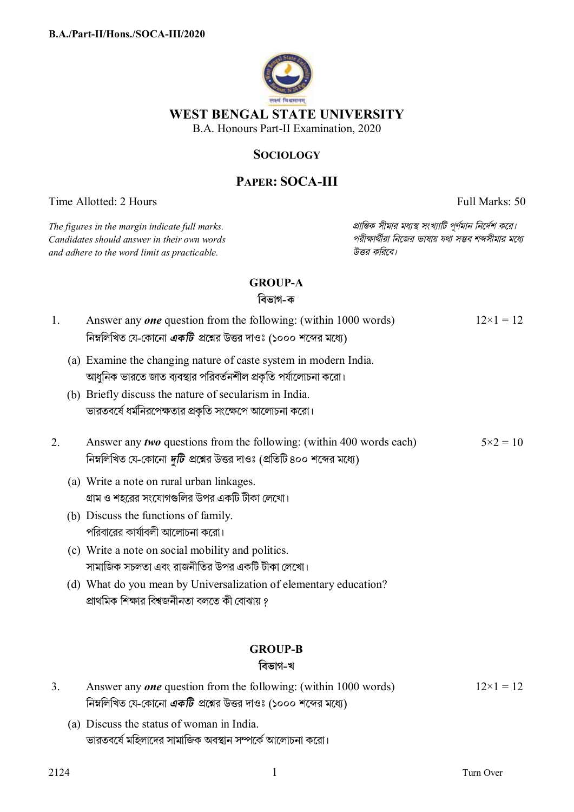

## **SOCIOLOGY**

# **PAPER: SOCA-III**

Time Allotted: 2 Hours Full Marks: 50

 $C$ *andidates should answer in their own words and adhere to the word limit as practicable. উtর কিরেব।*

*The figures in the margin indicate full marks. pািnক সীমার মধ°s সংখ°ািট পূণমান িনেদশ কের।*

## **GROUP-A**

**িবভাগ-ক**

| 1. | Answer any <i>one</i> question from the following: (within 1000 words)<br>নিম্নলিখিত যে-কোনো <i>একটি প্র</i> শ্নের উত্তর দাওঃ (১০০০ শব্দের মধ্যে)             | $12\times1=12$    |
|----|---------------------------------------------------------------------------------------------------------------------------------------------------------------|-------------------|
|    | (a) Examine the changing nature of caste system in modern India.<br>আধুনিক ভারতে জাত ব্যবস্থার পরিবর্তনশীল প্রকৃতি পর্যালোচনা করো।                            |                   |
|    | (b) Briefly discuss the nature of secularism in India.<br>ভারতবর্ষে ধর্মনিরপেক্ষতার প্রকৃতি সংক্ষেপে আলোচনা করো।                                              |                   |
| 2. | Answer any <i>two</i> questions from the following: (within 400 words each)<br>নিম্নলিখিত যে-কোনো <i>দুটি প্র</i> শ্নের উত্তর দাওঃ (প্রতিটি ৪০০ শব্দের মধ্যে) | $5 \times 2 = 10$ |
|    | (a) Write a note on rural urban linkages.<br>গ্রাম ও শহরের সংযোগগুলির উপর একটি টীকা লেখো।                                                                     |                   |
|    | (b) Discuss the functions of family.<br>পরিবারের কার্যাবলী আলোচনা করো।                                                                                        |                   |
|    | (c) Write a note on social mobility and politics.<br>সামাজিক সচলতা এবং রাজনীতির উপর একটি টীকা লেখো।                                                           |                   |
|    | (d) What do you mean by Universalization of elementary education?<br>প্রাথমিক শিক্ষার বিশ্বজনীনতা বলতে কী বোঝায় ?                                            |                   |
|    | <b>GROUP-B</b><br>বিভাগ-খ                                                                                                                                     |                   |
| 3. | Answer any <i>one</i> question from the following: (within 1000 words)<br>নিম্নলিখিত যে-কোনো <i>একটি</i> প্রশ্নের উত্তর দাওঃ (১০০০ শব্দের মধ্যে)              | $12\times1=12$    |

(a) Discuss the status of woman in India. ভারতবর্ষে মহিলাদের সামাজিক অবস্থান সম্পর্কে আলোচনা করো।